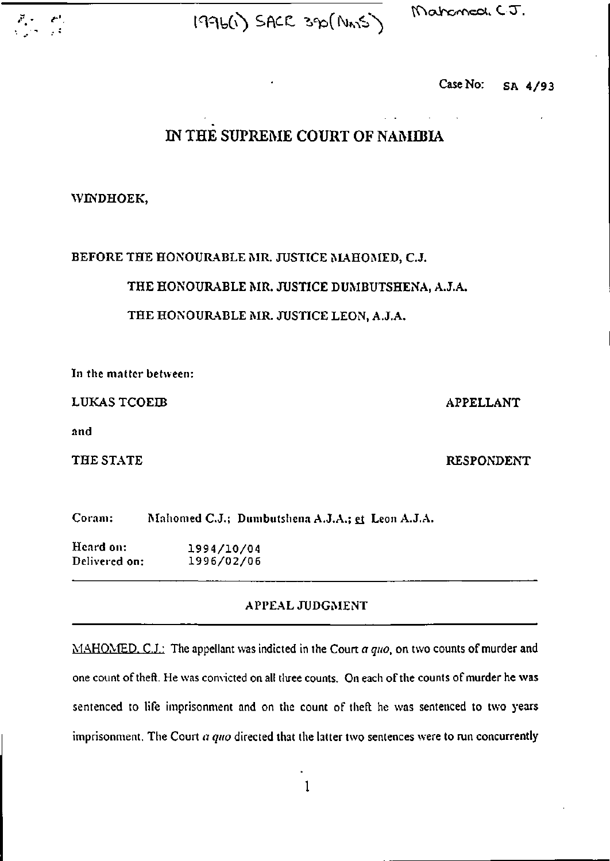



Mahamed. C.J.

**Case No: SA 4/93** 

# **IN THE SUPREME COURT OF NAMIBIA**

## **WINDHOEK,**

# **BEFORE THE HONOURABLE MR. JUSTICE MAHOMED, C.J.**

**THE HONOURABLE MR. JUSTICE DUMBUTSHENA, A.J.A.** 

## **THE HONOURABLE MR. JUSTICE LEON, A.J.A.**

**In the matter between:** 

**LUKAS TCOEIB** APPELLANT

**and** 

THE STATE **RESPONDENT** 

**Coram: Mahomed C.J.; Dimibutshena A.J.A.; et Leon A.J.A.** 

**Heard on: 1994/10/0 4 Delivered on: 1996/02/0 6** 

# **APPEAL JUDGMENT**

**MAHOMED. C.J.: The appellant was indicted in the Coun** *a quo,* **on two counts of murder and one count of theft. He was convicted on all tliree counts. On each of the counts of murder he was sentenced to life imprisonment and on the count of theft he was sentenced to two years imprisonment. The Court** *a quo* **directed that the latter two sentences were to run concurrently**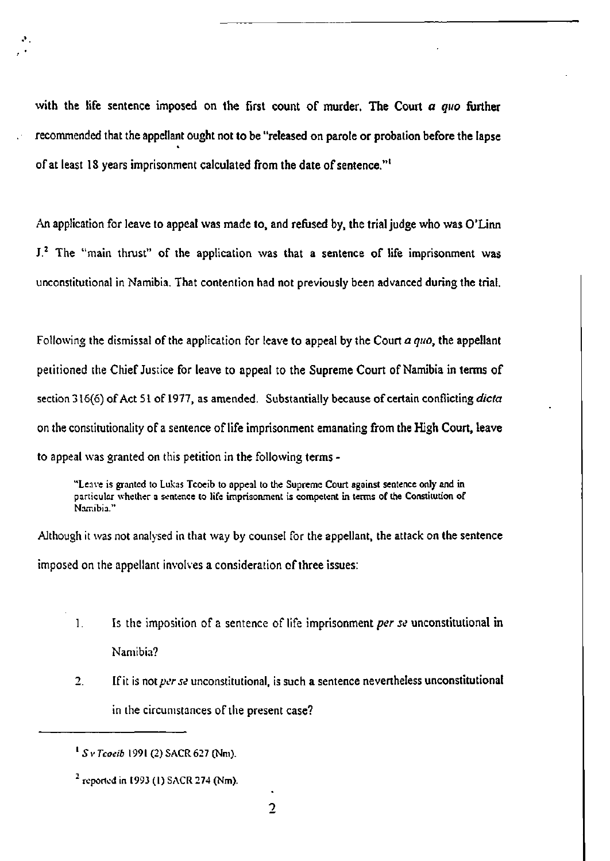**with the life sentence imposed on the first count of murder. The Court** *a quo* **further recommended that the appellant ought not to be "released on parole or probation before the lapse of at least 18 years imprisonment calculated from the date of sentence."<sup>1</sup>**

**An application for leave to appeal was made to, and refused by, the trial judge who was O'Linn J.2 The "main thrust" of the application was that a sentence of life imprisonment was unconstitutional in Namibia. That contention had not previously been advanced during the trial.** 

**Following the dismissal of the application for leave to appeal by the Court** *a quo,* **the appellant petitioned the Chief Justice for leave to appeal to the Supreme Court of Namibia in terms of section 316(6) of Act 51 of 1977, as amended. Substantially because of certain conflicting** *dicta*  **on the constitutionality of a sentence of life imprisonment emanating from the High Court, leave to appeal was granted on this petition in the following terms -**

"Leave is granted to Lukas Tcoeib to appeal to the Supreme Court against sentence only and in particular whether a sentence to life imprisonment is competent in terms of the Constitution of Namibia."

**Although it was not analysed in that way by counsel for the appellant, the attack on the sentence imposed on the appellant involves a consideration of three issues:** 

- **1. Is the imposition of a sentence of life imprisonment** *per se* **unconstitutional in Namibia?**
- **2. If it is not** *per se* **unconstitutional, is such a sentence nevertheless unconstitutional in the circumstances of the present case?**

<sup>1</sup> S v *Tcoeib* 1991 (2) SACR 627 (Nm).

 $^2$  reported in 1993 (1) SACR 274 (Nm).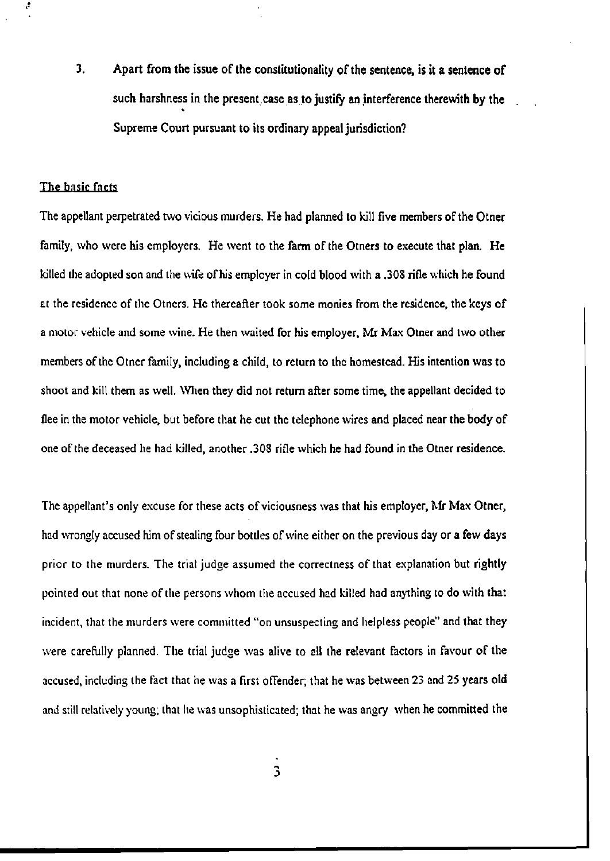**3. Apart from the issue of the constitutionality of the sentence, is it a sentence of**  such harshness in **the present case as to justify an interference therewith by the**  Supreme Court pursuant to its ordinary appeal jurisdiction?

#### The basic fncts

Ą

The appellant perpetrated two vicious murders. He had planned to kill five members **of the Otner**  family, who were his employers. He went to the farm of the Otners to execute that plan. He killed the adopted son and the wife of his employer in cold blood with a .308 rifle which he found at the residence of the Otners. He thereafter took some monies from the residence, the keys of a motor vehicle and some wine. He then waited for his employer, Mr Max Otner and two other members of the Otner family, including a child, to return to the homestead. His intention was to shoot and kill them as well. When they did not return after some time, the appellant decided to flee in the motor vehicle, but before that he cut the telephone wires and placed near the body of one of the deceased he had killed, another .308 rifle which he had found in the Otner residence.

The appellant's only excuse for these acts of viciousness was that his employer, Mr Max Otner, had wrongly accused him of stealing four bottles of wine either on the previous day or a few days prior to the murders. The trial judge assumed the correctness of that explanation but rightly pointed out that none of the persons whom the accused had killed had anything to do with that incident, that the murders were committed "on unsuspecting and helpless people" and that they were carefully planned. The trial judge was alive to all the relevant factors in favour of the accused, including the fact that he was a first offender; that he was between 23 and 25 years old and still relatively young; that he was unsophisticated; that he was angry when he committed the

 $\overline{\mathbf{3}}$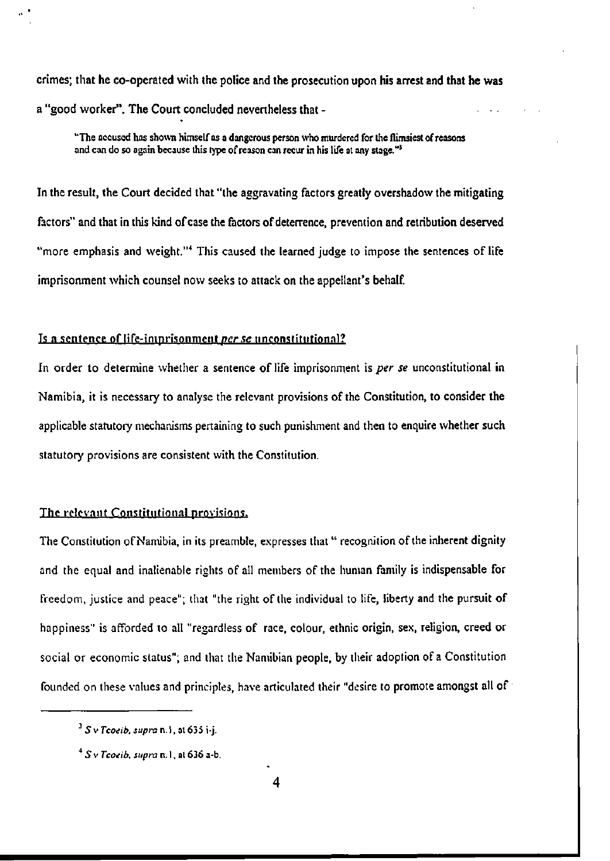**crimes; that he co-operated with the police and the prosecution upon his arrest and that he was**  a "good worker". **The Court** concluded nevertheless **that** -

"The accused has shown himself as a dangerous person who murdered for the flimsiest of reasons and can do so again because this type of reason can recur in his life at any stage."<sup>3</sup>

In the result, the Court decided that "the aggravating factors greatly overshadow **the** mitigating factors" and that in this kind of case the factors of deterrence, prevention and retribution deserved "more emphasis and weight."<sup>4</sup> This caused the learned judge to impose the sentences of life imprisonment which counsel now seeks to attack on the appellant's behalf.

#### Is a sentence of life-imprisonment per se unconstitutional?

In order to determine whether a sentence of life imprisonment is *per se* unconstitutional in Namibia, it is necessary to analyse the relevant provisions of the Constitution, to consider the applicable statutory mechanisms pertaining to such punishment and then to enquire whether such statutory provisions are consistent with the Constitution.

## The relevant Constitutional provisions.

The Constitution of Namibia, in its preamble, expresses that "recognition of the inherent dignity and the equal and inalienable rights of all members of the human family is indispensable for freedom, justice and peace"; that "the right of the individual to life, liberty and the pursuit of happiness" is afforded to all "regardless of race, colour, ethnic origin, sex, religion, creed or social or economic status"; and that the Namibian people, by their adoption of a Constitution founded on these values and principles, have articulated their "desire to promote amongst all of

<sup>5</sup> v *Tcoeib, supra* n. 1, at 635 i-j.

*S v Tcoeib, supra* n. I, al 636 a-b.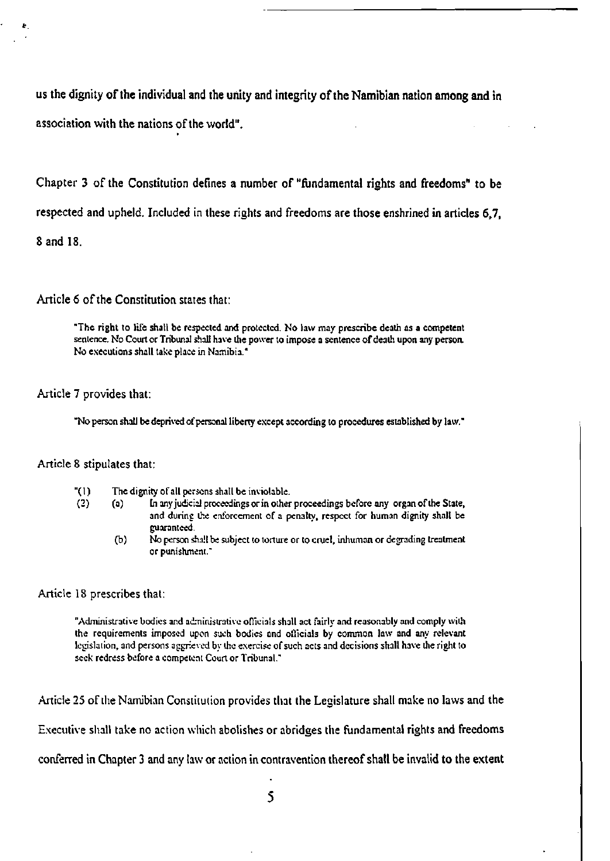us the dignity of **the** individual and the unity and integrity of **the** Namibian nation **among and in**  association with the nations of the world".

Chapter 3 of the Constitution defines a number of "fundamental rights and freedoms" to be respected and upheld. Included in these rights and freedoms are those enshrined in articles 6,7, Sand 18.

Article 6 of the Constitution states that:

"The right to life shall be respected and protected. No law may prescribe death as a competent sentence. No Court or Tribunal shall have the power to impose a sentence of death upon any person. No executions shall take place in Namibia."

## Article 7 provides that:

"No person shall be deprived of personal liberty except according to procedures established by law."

## Article 8 stipulates that:

- "(1) The dignity of all persons shall be inviolable.
- (2) (a) In any judicial proceedings or in other proceedings before any organ of the State, and during the enforcement of a penalty, respect for human dignity shall be guaranteed,
	- (b) No person shall be subject to torture or to cruel, inhuman or degrading treatment or punishment."

#### Article IS prescribes that:

"Administrative bodies and administrative officials shall act fairly and reasonably and comply with the requirements imposed upon such bodies and officials by common law and any relevant legislation, and persons aggrieved by the exercise of such acts and decisions shall have the right to seek redress before a competent Court or Tribunal."

Article 25 of the Namibian Constitution provides that the Legislature shall make no laws and the

Executive shall take no action which abolishes or abridges the fundamental rights and freedoms

conferred in Chapter 3 and any law or action in contravention thereof shall be invalid to the extent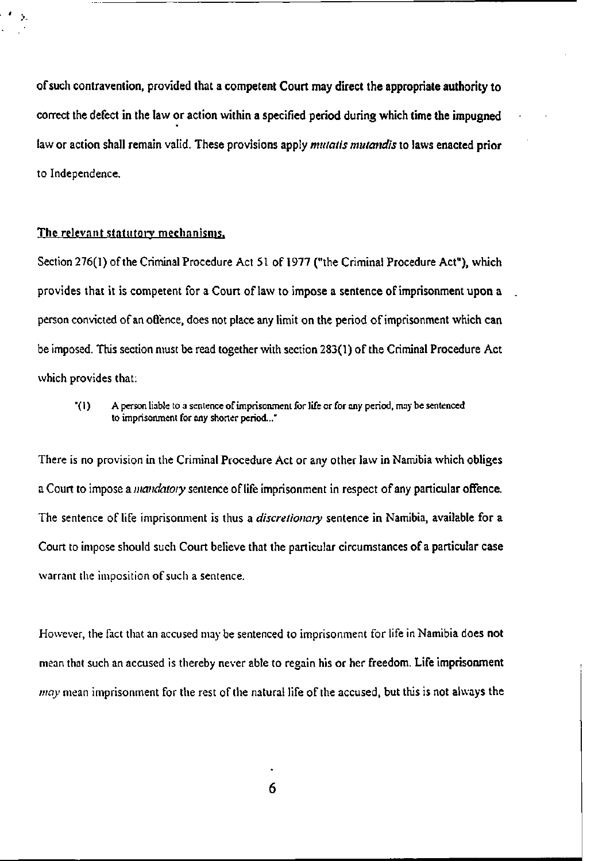**of such contravention, provided that a competent Court may direct the appropriate authority to**  correct the defect **in the law or** action **within a specified period during which time the impugned**  law or action shall remain valid. These provisions apply *mutatis mutandis* **to** laws **enacted prior**  to Independence.

## The relevant statutory mechanisms.

٠  $\Lambda$ 

> Section 276(1) of the Criminal Procedure Act 51 of 1977 ("the Criminal Procedure Act"), which provides that it is competent for a Court of law to impose a sentence of imprisonment upon a person convicted of an offence, does not place any limit on the period of imprisonment which **can**  be imposed. This section must be read together with section 283(1) of the Criminal Procedure Act which provides that:

"(1) A person liable to a sentence of imprisonment for life or for any period, may be sentenced to imprisonment for any shorter period..."

There is no provision in the Criminal Procedure Act or any other law in Namibia which obliges a Court to impose a *mandatory* sentence of life imprisonment in respect of any particular offence. The sentence of life imprisonment is thus a *discretionary* sentence in Namibia, available for a Court to impose should such Court believe that the particular circumstances of a particular case warrant the imposition of such a sentence.

However, the fact that an accused may be sentenced to imprisonment for life in Namibia does not mean that such an accused is thereby never able to regain his or her freedom. Life imprisonment *may* mean imprisonment for the rest of the natural life of the accused, but this is not always the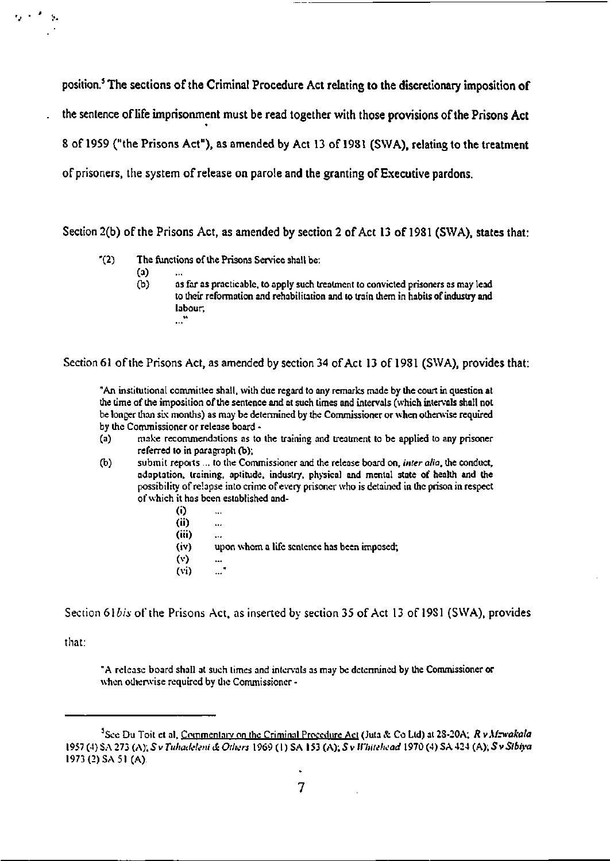**position.<sup>3</sup> The sections of the Criminal Procedure Act relating to the discretionary imposition of the sentence of life imprisonment must be read together with those provisions of the Prisons Act 8 of 1959 ("the Prisons Act"), as amended by Act 13 of 1981 (SWA), relating to the treatment of prisoners, the system of release on parole and the granting of Executive pardons.** 

**Section 2(b) of the Prisons Act, as amended by section 2 of Act 13 of 1981 (SWA), states that:** 

- "(2) The functions of the Prisons Service shall be:
	- (a)
	- (b) as far as practicable, to apply such treatment to convicted prisoners as may lead to their reformation and rehabilitation and to train them in habits of industry and labour.

**Section 61 of the Prisons Act, as amended by section 34 of Act 13 of 1981 (SWA), provides that:** 

"An institutional committee shall, with due regard to any remarks made by the court in question at the time of the imposition of the sentence and at such times and intervals (which intervals shall not be longer than six months) as may be determined by the Commissioner or when otherwise required by the Commissioner or release board -

- (a) make recommendations as to the training and treatment to be applied to any prisoner referred to in paragraph (b);
- (b) submit reports ... to the Commissioner and the release board on, *inter alia,* the conduct, adaptation, training, aptitude, industry, physical and mental state of health and the possibility of relapse into crime of every prisoner who is detained in the prison in respect of which it has been established and-
	- (i) (ii)  $\ddot{\phantom{a}}$ (iii) upon whom a life sentence has been imposed; (v) ..." (vi)

**Section** *6\bis* **of the Prisons Act, as inserted by section 35 of Act 13 of 19S1 (SWA), provides** 

**that:** 

 $\mathcal{P}_\mathbf{a}$ 

"A release board shall at such times and intervals as may be determined by the Commissioner or when otherwise required by the Commissioner -

<sup>&</sup>lt;sup>5</sup>See Du Toit et al, Commentary on the Criminal Procedure Act (Juta & Co Ltd) at 28-20A; R v Mzwakala 1957 (4) SA 273 (A). 5v *Tuhadeleni & Others* 1969 (1) SA 153 (A); *S v Whitehead* 1970 (4) SA 424 (A); 5 v *Sibiya*  1973 (2) SA 51 (A).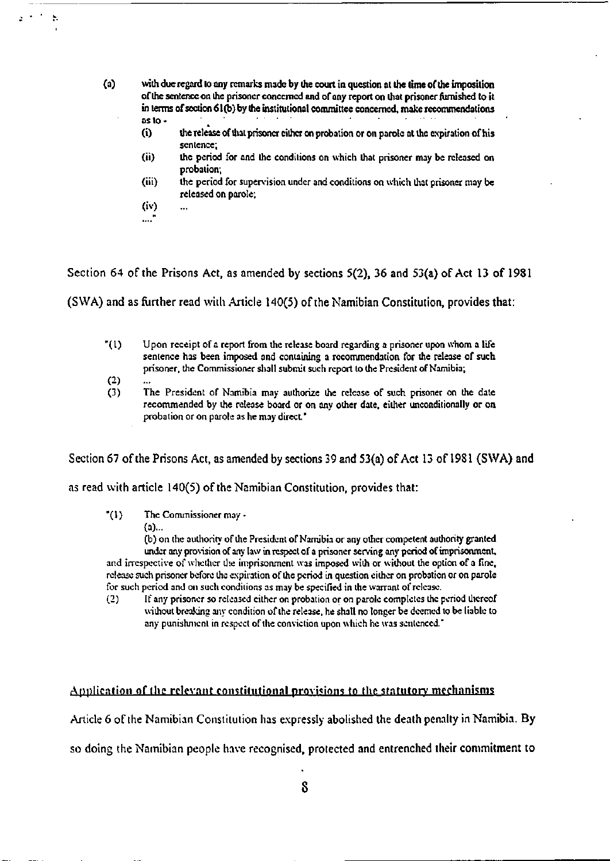- **(a) with due regard to any remarks made by the court in question at the time of the imposition of the sentence on the prisoner concerned and of any report on that prisoner furnished to it in terms of section 61(b) by the institutional committee concerned, make recommendations**  as **to** -
	- (i) the release of that prisoner cither on probation **or on** parole at the expiration **of** his sentence;
	- (ii) the period for and the conditions on which that prisoner may be released **on**  probation;
	- (iii) the period for supervision under and conditions on which that prisoner may **be**  released on parole;
	- (iv)  $\ddot{\phantom{a}}$
	- ....'

 $\ddot{\phantom{a}}$ 

**Section 64 of the Prisons Act, as amended by sections 5(2), 36 and 53(a) of Act 13 of 1981** 

**(SWA) and as further read with Article 140(5) of the Namibian Constitution, provides that:** 

- "(I) Upon receipt of a report from the release board regarding a prisoner upon whom a life sentence has been imposed and containing a recommendation for the release **of** such prisoner, the Commissioner shall submit such report to the President of Namibia;
- (2)
- (3) The President of Namibia may authorize the release of such prisoner on the date recommended by the release board or on any other date, either unconditionally or on probation or on parole as he may direct."

**Section 67 of the Prisons Act, as amended by sections 39 and 53(a) of Act 13 of 19S1 (SWA) and** 

**as read with article 140(5) of the Namibian Constitution, provides that:** 

 $^{\prime}(1)$ The Commissioner may -

(a)...

(b) on the authority of the President of Namibia or any other competent authority granted under any provision of any law in respect of a prisoner serving any period of imprisonment, and irrespective of whether the imprisonment was imposed with or without the option of a fine, release such prisoner before the expiration of the period in question either on probation or on parole for such period and on such conditions as may be specified in the warrant of release.

(2) If any prisoner so released cither on probation or on parole completes the period thereof without breaking any condition of the release, he shall no longer be deemed to be liable to any punishment in respect of the conviction upon which he was sentenced."

## **Application of the relevant constitutional provisions to the statutory mechanisms**

**Article 6 of the Namibian Constitution has expressly abolished the death penalty in Namibia. By** 

**so doing the Namibian people have recognised, protected and entrenched their commitment to**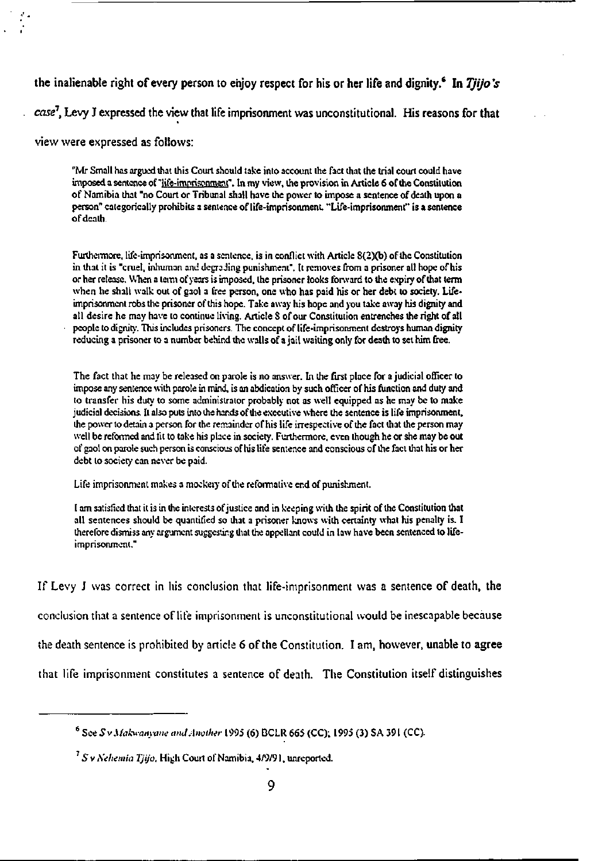**the inalienable right of every person to enjoy respect for his or her life and dignity.<sup>6</sup> In** *Tjijo's case 1 ,* Levy **J expressed the view that life imprisonment was unconstitutional. His reasons for that** 

view were expressed as follows:

"Mr Small has argued lhat this Court should take into account the fact that the trial court could have imposed a sentence of "life-imprisonment". In my view, the provision in Article 6 of the Constitution of Namibia that "no Court or Tribunal shall have the power to impose a sentence of death upon a person" categorically prohibits a sentence of life-imprisonment. "Life-imprisonment" is a sentence of death.

Furthermore, life-imprisonment, as a sentence, is in conflict with Article 8(2)(b) of the Constitution in lhat it is "cruel, inhuman and degrading punishment". It removes from a prisoner all hope of his or her release. When a term of years is imposed, the prisoner looks forward to the expiry of lhat term when he shall walk out of gaol a free person, one who has paid his or her debt to society. Lifeimprisonment robs the prisoner of this hope. Take away his hope and you take away his dignity and all desire he may have to continue living. Article S of our Constitution entrenches the right of all people to dignity. This includes prisoners. The concept of life-imprisonment destroys human dignity reducing a prisoner to a number behind the walls of a jail waiting only for death to set him free.

The fact that he may be released on parole is no answer. In the first place for a judicial officer to impose any sentence with parole in mind, is an abdication by such officer of his function and duty and to transfer his duty to some administrator probably not as well equipped as he may be to make judicial decisions. It also puts into the hands of the executive where the sentence is life imprisonment, ihe power to detain a person for the remainder of his life irrespective of the fact lhat the person may well be reformed and tit to take his place in society. Furthermore, even though he or she may be out of gaol on parole such person is conscious of his life sentence and conscious of the fact that his or her debt to society can never be paid.

Life imprisonment makes a mockery of ihe reformative end of punishment.

I am satisfied that it is in the interests of justice and in keeping with the spirit of the Constitution that all sentences should be quantified so that a prisoner knows with certainty what his penalty is. I therefore dismiss any argument suggesting that the appellant could in law have been sentenced to lifeimprisonment."

If Levy J was correct in his conclusion that life-imprisonment was a sentence of death, **the**  conclusion that a sentence of life imprisonment is unconstitutional would be inescapable because the death sentence is prohibited by article 6 of the Constitution. I am, however, unable **to agree**  that life imprisonment constitutes a sentence of death. The Constitution itself distinguishes

<sup>6</sup> See *Sv.Uakwanyane and Another* 1995 (6) DCLR 665 (CC); 1995 (3) SA 391 (CC).

*S* v *Xehemia Tjijo.* High Court of Namibia, 4/9/91. unreported.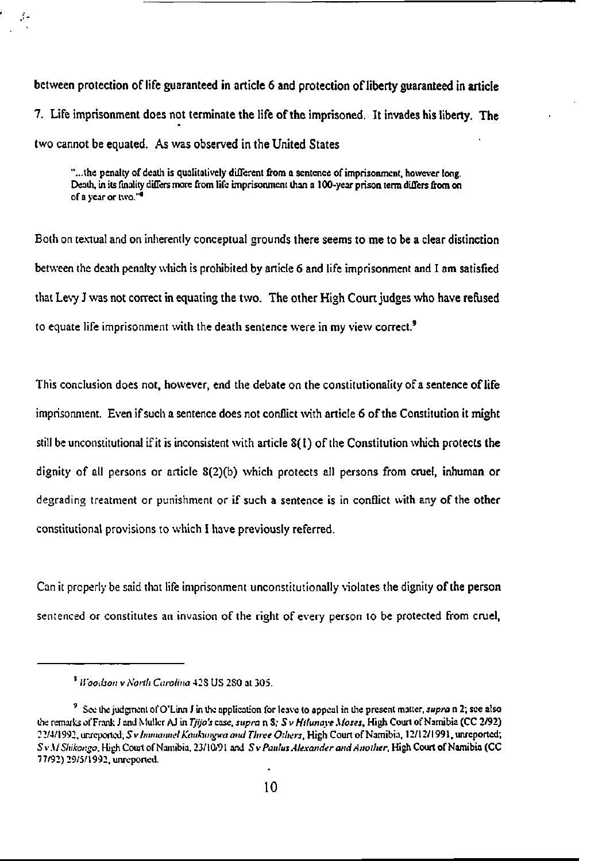between **protection of life guaranteed in article 6 and protection of liberty guaranteed in article**  7. Life imprisonment does not terminate **the life** of **the** imprisoned. **It** invades **his liberty. The**  two cannot be equated. As was observed in the United States

 $\mathcal{I}$  .

"...the penalty of death is qualitatively different from a sentence of imprisonment, however long. Death, in its finality differs more from life imprisonment than a 100-year prison term differs from on of a year or two."<sup>4</sup>

Both on textual and on inherently conceptual grounds there seems to me to be a clear distinction between the death penalty which is prohibited by article 6 and life imprisonment and I am satisfied that Levy J was not correct in equating the two. The other High Court judges who have refused to equate life imprisonment with the death sentence were in my view correct.<sup>9</sup>

This conclusion does not, however, end the debate on the constitutionality of a sentence of life imprisonment. Even if such a sentence does not conflict with article 6 of the Constitution it might still be unconstitutional if it is inconsistent with article 8(1) of the Constitution which protects the dignity of all persons or article S(2)(b) which protects all persons from cruel, inhuman or degrading treatment or punishment or if such a sentence is in conflict with any of the other constitutional provisions to which I have previously referred.

Can it properly be said that life imprisonment unconstitutionally violates the dignity of the person sentenced or constitutes an invasion of the right of every person to be protected from cruel,

<sup>8</sup>  *Woodson* v *North Carolina* 42S US 2S0 at 305.

See the judgment of O'Linn J in the application for leave to appeal in the present matter, *supra* n 2; see also the remarks of Frank J and Muller AJ in *Tjijo's* case, *supra* n 8; S v *Hilunaye Moses,* High Court of Namibia (CC 2/92) 22/4/1992, unreported; 5 v *Imtnanuel Kauhtngwa and Three Others,* High Court of Namibia, 12/12/1991, unreported; *SvMShikongo,* High Court of Namibia, 23/10/91 and *SvPaulus Alexander and Another,* High Court of Namibia (CC 77/92) 29/5/1992, unreported.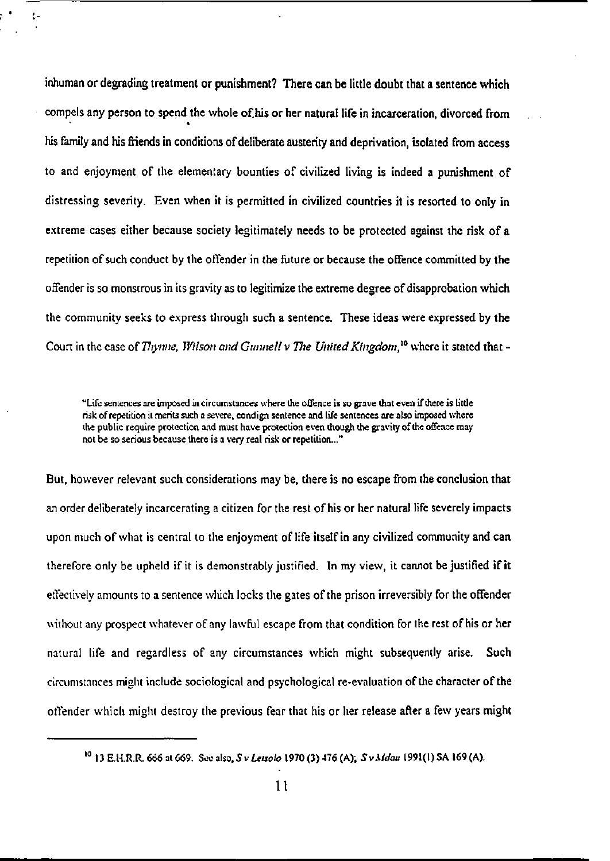**inhuman or degrading treatment or punishment? There can be little doubt that a sentence which**  compels any person to spend the whole of his or her natural life in incarceration, divorced from his family and his friends in conditions **of** deliberate austerity **and** deprivation, isolated from **access**  to and enjoyment of the elementary bounties of civilized living is indeed **a** punishment of distressing severity. Even when it is permitted in civilized countries it is resorted to only in extreme cases either because society legitimately needs to be protected against the risk of **a**  repetition of such conduct by the offender in the future or because the offence committed by the offender is so monstrous in its gravity as to legitimize the extreme degree of disapprobation which the community seeks to express through such **a** sentence. These ideas were expressed by **the Court in the case of** *Tliynne, Wilson and Gunnell v Tlie United Kingdom,<sup>10</sup>* **where it stated that -**

ķ.

"Life sentences are imposed in circumstances where the offence is so grave that even if there is little risk of repetition it merits such a severe, condign sentence and life sentences are also imposed where the public require protection and must have protection even though the gravity of the offence may not be so serious because there is a very real risk or repetition..."

But, however relevant such considerations may be, there is no escape from the conclusion that an order deliberately incarcerating a citizen for the rest ofhis or her natural life severely impacts upon much of what is central to the enjoyment of life itself in any civilized community and can therefore only be upheld if it is demonstrably justified. In my view, it cannot be justified if it effectively amounts to a sentence which locks the gates of the prison irreversibly for the offender without any prospect whatever of any lawful escape from that condition for the rest of his or her natural life and regardless of any circumstances which might subsequently arise. Such circumstances might include sociological and psychological re-evaluation of the character of the offender which might destroy the previous fear that his or her release after a few years might

<sup>10</sup> 13 E.H.R.R. 666 at 669. See also, 5 v *Letsolo* 1970 (3) 476 (A); *SvAfdau* 1991(1) SA 169 (A).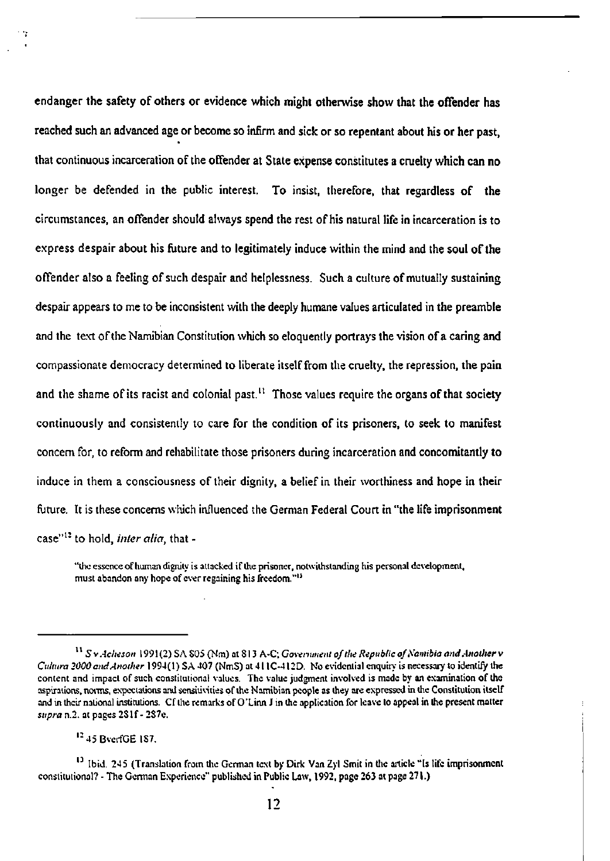**endanger the safety of others or evidence which might otherwise show that the offender has reached such an advanced age or become so infirm and sick or so repentant about his or her past, that continuous incarceration of the offender at State expense constitutes a cruelty which can no longer be defended in the public interest. To insist, therefore, that regardless of the circumstances, an offender should always spend the rest of his natural life in incarceration is to express despair about his future and to legitimately induce within the mind and the soul of the offender also a feeling of such despair and helplessness. Such a culture of mutually sustaining despair appears to me to be inconsistent with the deeply humane values articulated in the preamble and the text of the Namibian Constitution which so eloquently portrays the vision of a caring and compassionate democracy determined to liberate itself from the cruelty, the repression, the pain and the shame of its racist and colonial past.<sup>11</sup> Those values require the organs of that society continuously and consistently to care for the condition of its prisoners, to seek to manifest concern for, to reform and rehabilitate those prisoners during incarceration and concomitantly to induce in them a consciousness of their dignity, a belief in their worthiness and hope in their future. It is these concerns which influenced the German Federal Court in "the life imprisonment case"<sup>12</sup> to hold,** *inter alia,* **that -**

"the essence of human dignity is attacked if the prisoner, notwithstanding his personal development, must abandon any hope of ever regaining his freedom."<sup>11</sup>

<sup>12</sup> 45 BverfGE 187.

<sup>1</sup> ' *S v Acheson* 1991 (2) SA S05 (Nm) at S13 A-C; *Government of the Republic of Namibia and Another* v *Cultura 2000 end Another* 1994(1) SA 407 (NmS) at 411C-412D. No evidential enquiry is necessary to identify the content and impact of such constitutional values. The value judgment involved is made by an examination of the aspirations, norms, expectations and sensitivities of the Namibian people as they are expressed in the Constitution itself and in their national institutions. Cf the remarks of O'Linn J in the application for leave to appeal in the present matter *supra* n.2. at pages 2Slf- 287e.

<sup>&</sup>lt;sup>13</sup> Ibid. 245 (Translation from the German text by Dirk Van Zyl Smit in the article "Is life imprisonment constitutional? - The German Experience" published in Public Law, 1992, page 263 at page 271.)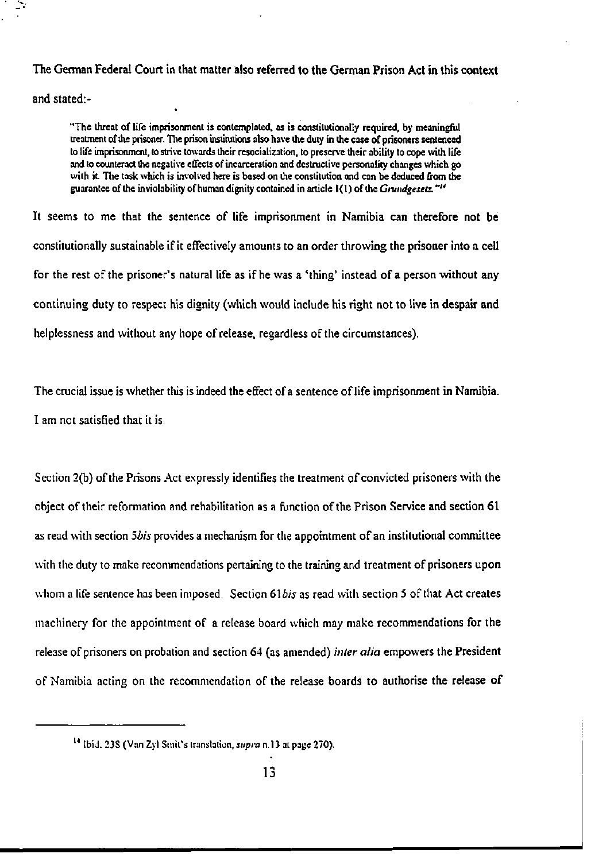## **The German Federal Court in that matter also referred to the German Prison Act in this context**

and stated:-

"The threat of life imprisonment is contemplated, as is constitutionally required, by meaningful treatment of the prisoner. The prison institutions also have the duty in the case of prisoners sentenced to life imprisonment, to strive towards their resocialization, to preserve their ability to cope with life and to counteract the negative effects of incarceration and destructive personality changes which go with it. The task which is involved here is based on the constitution and can be deduced from the guarantee of the inviolability of human dignity contained in article 1(1) of the *Grundgesetz*. "<sup>*u*</sup>

It seems to me that the sentence of life imprisonment in Namibia **can therefore not be**  constitutionally sustainable if it effectively amounts to an order throwing the **prisoner into a cell**  for the rest of the prisoner's natural life as if he was a 'thing' instead of a person without any continuing duty to respect his dignity (which would include his right not to live in despair and helplessness and without any hope of release, regardless of the circumstances).

The crucial issue is whether this is indeed the effect of a sentence of life imprisonment **in** Namibia. I am not satisfied that it is.

Section 2(b) of the Prisons Act expressly identifies the treatment of convicted prisoners with **the**  object of their reformation and rehabilitation as a function of the Prison Service **and** section 61 as read with section *Sbis* provides a mechanism for the appointment of an institutional committee with the duty to make recommendations pertaining to the training and treatment of prisoners upon whom a life sentence has been imposed. Section *6\bis* as read with section 5 of that Act creates machinery for the appointment of a release board which may make recommendations for the release of prisoners on probation and section 64 (as amended) *inter alia* empowers **the** President of Namibia acting on the recommendation of the release boards to authorise **the** release of

<sup>14</sup> Ibid. 23S (Van Zyl Smil's translation, *supra* n. 13 at page 270).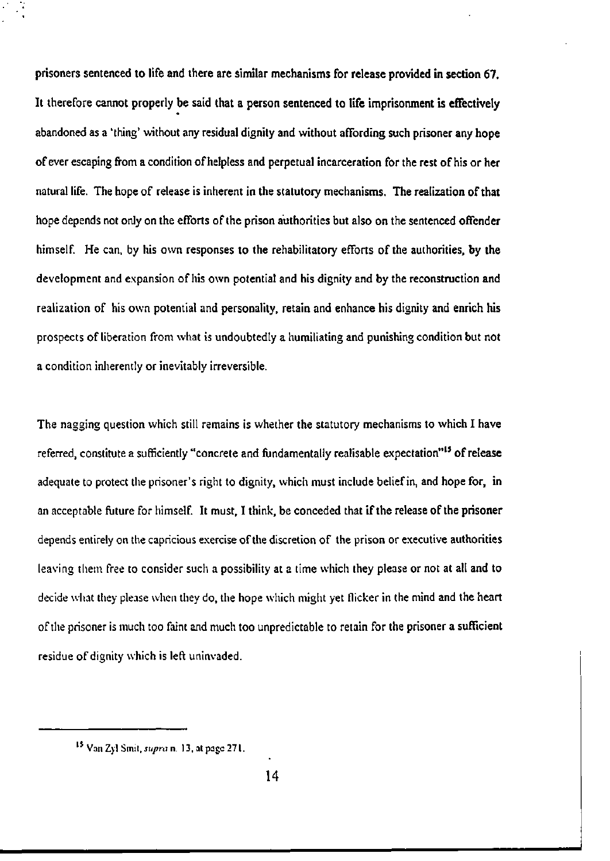prisoners sentenced **to life** and **there are similar mechanisms for release provided in section 67.**  It therefore cannot properly be said that **a** person sentenced to life imprisonment **is** effectively abandoned as a 'thing' without any residual dignity and without affording such prisoner any hope of ever escaping from a condition of helpless and perpetual incarceration for the rest of his or her natural life. The hope of release is inherent in the statutory mechanisms. The realization of that hope depends not only on the efforts of the prison authorities but also on the sentenced offender himself. He can, by his own responses to the rehabilitatory efforts of the authorities, by the development and expansion of his own potential and his dignity and by the reconstruction and realization of his own potential and personality, retain and enhance his dignity and enrich his prospects of liberation from what is undoubtedly a humiliating and punishing condition but not a condition inherently or inevitably irreversible.

The nagging question which still remains is whether the statutory mechanisms to which I have referred, constitute a sufficiently "concrete and fundamentally realisable expectation"<sup>15</sup> of release adequate to protect the prisoner's right to dignity, which must include belief in, and hope for, in an acceptable future for himself. It must, I think, be conceded that if the release of the prisoner depends entirely on the capricious exercise of the discretion of the prison or executive authorities leaving them free to consider such a possibility at a time which they please or not at all and to decide what they please when they do, the hope which might yet flicker in the mind and the heart of the prisoner is much too faint and much too unpredictable to retain for the prisoner a sufficient residue of dignity which is left uninvaded.

Van Zyl Smit, *supra* n. 13, at page 271.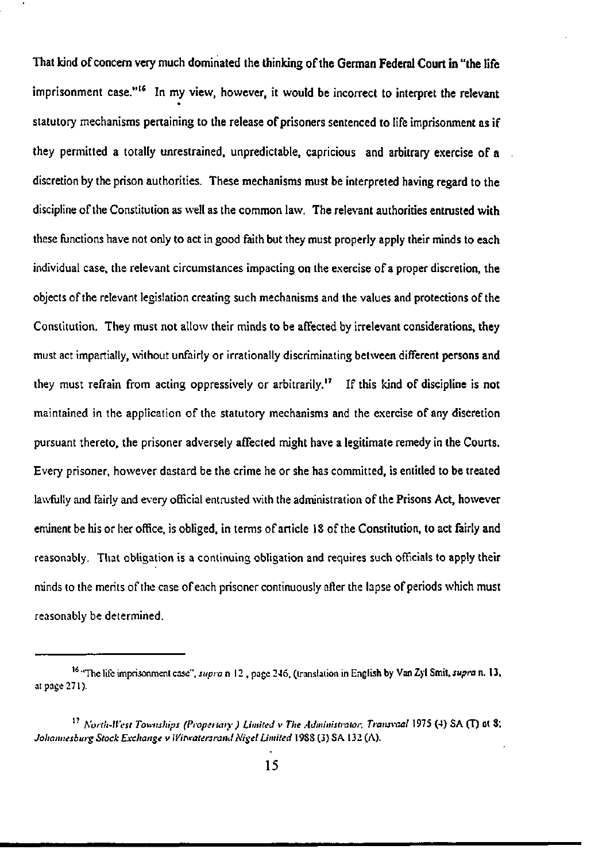**That kind of concern very much dominated the thinking of the German Federal Court in "the life**  imprisonment case."<sup>16</sup>  **In my view, however, it would be incorrect to interpret the relevant**  statutory mechanisms pertaining to the release of prisoners sentenced to life imprisonment as if they permitted a totally unrestrained, unpredictable, capricious and arbitrary exercise of **a**  discretion by the prison authorities. These mechanisms must be interpreted having regard **to the**  discipline of the Constitution as well as the common law. The relevant authorities entrusted **with**  these functions have not only to act in good faith but they must properly apply their minds to each individual case, the relevant circumstances impacting on the exercise of a proper discretion, the objects of the relevant legislation creating such mechanisms and the values and protections of the Constitution. They must not allow their minds to be affected by irrelevant considerations, they must act impartially, without unfairly or irrationally discriminating between different persons and they must refrain from acting oppressively or arbitrarily.<sup>17</sup> If this kind of discipline is not maintained in the application of the statutory mechanisms and the exercise of any discretion pursuant thereto, the prisoner adversely affected might have a legitimate remedy in the Courts. Every prisoner, however dastard be the crime he or she has committed, is entitled to be treated lawfully and fairly and every official entrusted with the administration of the Prisons Act, however eminent be his or her office, is obliged, in terms of article 18 of the Constitution, to act fairly and reasonably. That obligation is a continuing obligation and requires such officials to apply their minds to the merits of the case of each prisoner continuously after the lapse of periods which must reasonably be determined.

<sup>&</sup>quot;The life imprisonment case", *supra* n 12 , page 246, (translation in English by Van Zyl Smit, *supra* n. 13, at page 271).

<sup>17</sup>  *S'orth-U'est Townships (Propet taty ) Limited v The Administrator, Transvaal* 1975 (4) SA (T) at 8; *Johannesburg Stock Exchange v Witwatersrand Nigel Limited* 19SS (3) SA 132 (A).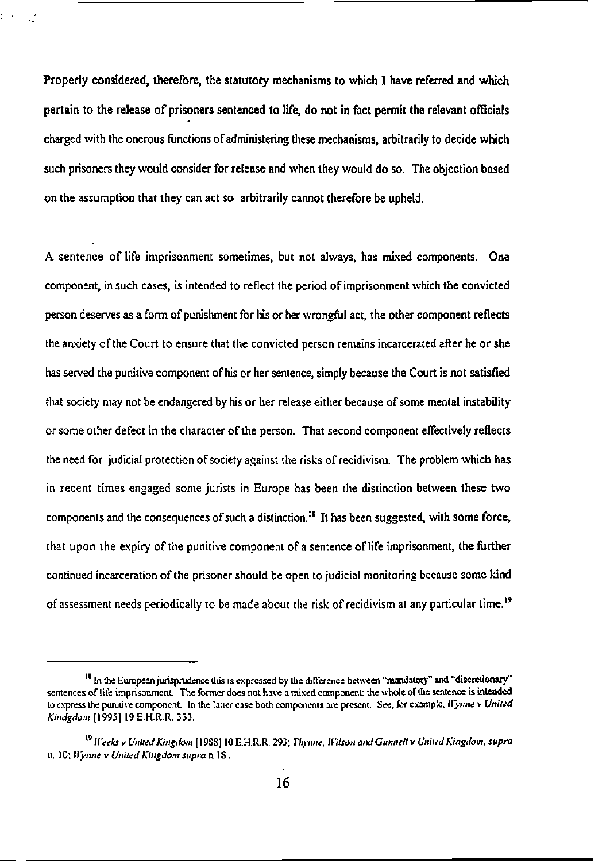**Properly considered, therefore, the statutory** mechanisms **to** which **I have referred and which**  pertain to the release of prisoners sentenced to life, do not in fact permit the relevant officials charged with the onerous functions of administering these mechanisms, arbitrarily to decide which such prisoners they would consider for release and when they would do so. The objection based on the assumption that they can act so arbitrarily cannot therefore be upheld.

 $\mathcal{L}$ 

A sentence of life imprisonment sometimes, but not always, has mixed components. One component, in such cases, is intended to reflect the period of imprisonment which the convicted person deserves as a form of punishment for his or her wrongful act, the other component reflects the aaxiety of the Court to ensure that the convicted person remains incarcerated after he or she has served the punitive component of his or her sentence, simply because the Court is not satisfied that society may not be endangered by his or her release either because of some mental instability or some other defect in the character of the person. That second component effectively reflects the need for judicial protection of society against the risks of recidivism. The problem which has in recent times engaged some jurists in Europe has been the distinction between these two components and the consequences of such a distinction.<sup>18</sup> It has been suggested, with some force, that upon the expiry of the punitive component of a sentence of life imprisonment, the further continued incarceration of the prisoner should be open to judicial monitoring because some kind of assessment needs periodically to be made about the risk of recidivism at any particular time.<sup>19</sup>

<sup>&</sup>lt;sup>18</sup> In the European jurisprudence this is expressed by the difference between "mandatory" and "discretionary" sentences of life imprisonment. The former does not have a mixed component: the whole of the sentence is intended to express the punitive component. In the latter case both components are present. See. for example. *Wynne v United Kindgdom* [1995] 19 E.H.R.R. 333.

**<sup>19</sup>**  *Weeks* **v** *United Kingdom* **[19SS] 10 E.H.R.R. 293;** *Thynne, Wilson and Gunned* **v** *United Kingdom, supra*  **n. 10;** *Wynne v United Kingdom supra* **n IS .**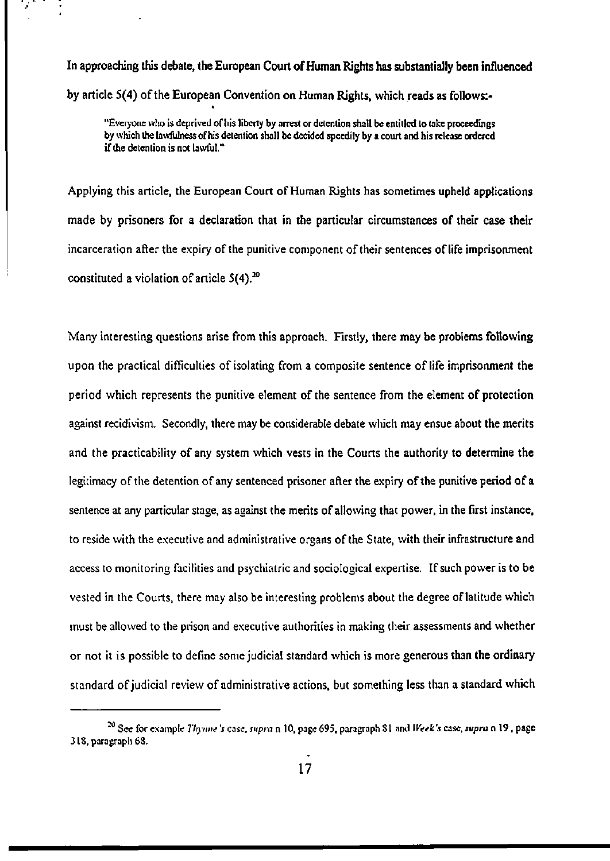**In approaching this debate, the European Court of Human Rights has substantially been influenced**  by article **5(4) of the** European Convention **on Human Rights,** which **reads as follows:-**

"Everyone who is deprived of his liberty by arrest or detention shall be entitled to take proceedings by which the lawfulness of his detention shall be decided speedily by a court and his release ordered if the detention is not lawful."

Applying this article, the European Court of Human Rights has sometimes upheld applications made by prisoners for a declaration that in the particular circumstances of their case their incarceration after the expiry of the punitive component of their sentences of life imprisonment constituted a violation of article  $5(4)$ .<sup>20</sup>

Many interesting questions arise from this approach. Firstly, there may be problems following upon the practical difficulties of isolating from a composite sentence of life imprisonment **the**  period which represents the punitive element of the sentence from the element of protection against recidivism. Secondly, there may be considerable debate which may ensue about the merits and the practicability of any system which vests in the Courts the authority to determine the legitimacy of the detention of any sentenced prisoner after the expiry of the punitive period of **a**  sentence at any particular stage, as against the merits of allowing that power, in the first instance, to reside with the executive and administrative organs of the State, with their infrastructure and access to monitoring facilities and psychiatric and sociological expertise. If such power is to be vested in the Courts, there may also be interesting problems about the degree of latitude which must be allowed to the prison and executive authorities in making their assessments and whether or not it is possible to define some judicial standard which is more generous than the ordinary standard of judicial review of administrative actions, but something less than a standard which

<sup>20</sup> See for example *Thynne 's* case, *supra* n 10, page 695, paragraph SI and *Week's* case, *supra* n 19 , page 3 IS, paragraph 6S.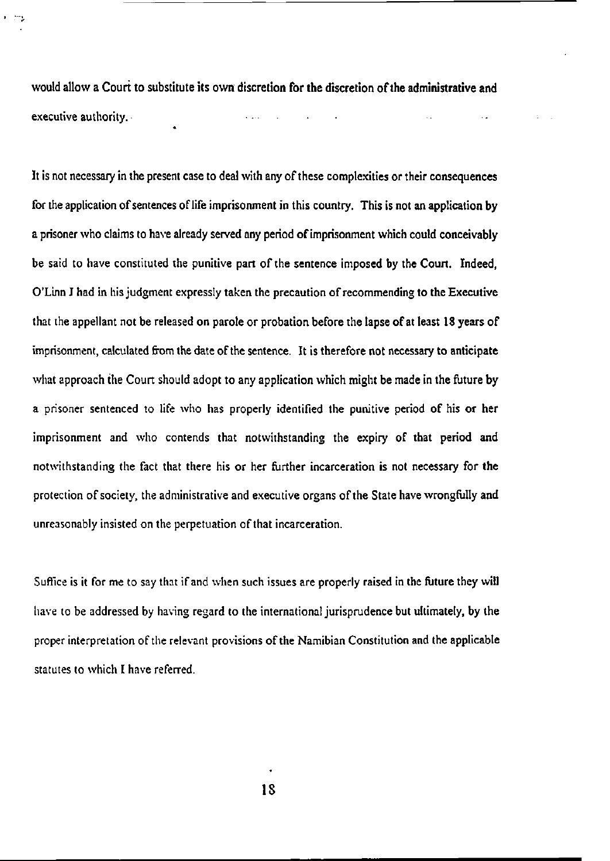would allow **a Court to** substitute **its own discretion for the discretion of the administrative and**  executive authority.

**STA** 

It is not necessary in the present case to deal with any of these complexities or their consequences for the application of sentences of life imprisonment in this country. This is not an application by a prisoner who claims to have already served any period of imprisonment which could conceivably be said to have constituted the punitive part of the sentence imposed by the Court. Indeed, O'Linn J had in his judgment expressly taken the precaution of recommending to the Executive that the appellant not be released on parole or probation before the lapse of at least 18 years of imprisonment, calculated from the date of the sentence. It is therefore not necessary to anticipate what approach the Court should adopt to any application which might be made in the future by a prisoner sentenced to life who has properly identified the punitive period of his or her imprisonment and who contends that notwithstanding the expiry of that period and notwithstanding the fact that there his or her further incarceration is not necessary for the protection of society, the administrative and executive organs of the State have wrongfully and unreasonably insisted on the perpetuation of that incarceration.

Suffice is it for me to say that if and when such issues are properly raised in the future they will have to be addressed by having regard to the international jurisprudence but ultimately, by the proper interpretation of the relevant provisions of the Namibian Constitution and the applicable statutes to which I have referred.

**IS**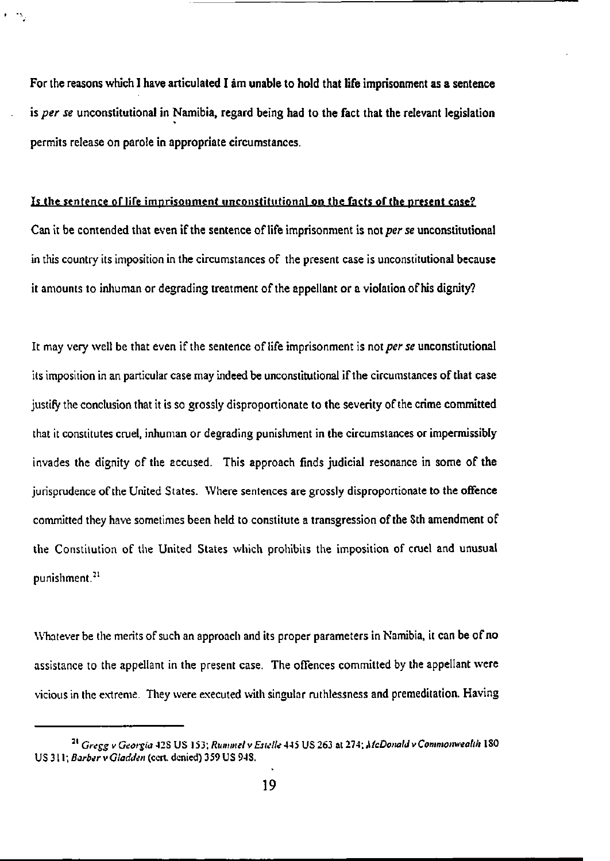**For the reasons which I have articulated I am unable to hold that life imprisonment as a sentence is** *per se* **unconstitutional in Namibia, regard being had to the fact that the relevant legislation permits release on parole in appropriate circumstances.** 

## **Is the sentence of life imprisonment unconstitutional on the facts of the present case?**

**Can it be contended that even if the sentence of life imprisonment is not** *per se* **unconstitutional in this country its imposition in the circumstances of the present case is unconstitutional because it amounts to inhuman or degrading treatment of the appellant or a violation of his dignity?** 

**It may very well be that even if the sentence of life imprisonment is not** *per se* **unconstitutional its imposition in an particular case may indeed be unconstitutional if the circumstances of that case justify the conclusion that it is so grossly disproportionate to the severity of the crime committed that it constitutes cruel, inhuman or degrading punishment in the circumstances or impermissibly invades the dignity of the accused. This approach finds judicial resonance in some of the jurisprudence of the United States. Where sentences are grossly disproportionate to the offence committed they have sometimes been held to constitute a transgression of the Sth amendment of the Constitution of the United States which prohibits the imposition of cruel and unusual punishment.<sup>21</sup>**

**Whatever be the merits of such an approach and its proper parameters in Namibia, it can be of no assistance to the appellant in the present case. The offences committed by the appellant were vicious in the extreme. They were executed with singular ruthlessness and premeditation. Having** 

**<sup>21</sup>**  *Gregg v Georgia* **42S US 153;** *Rummel v Estelle* **445 US 263 at 274;** *McDonald* **v** *Commonwealth* **1 SO**  US 311; *Barber* v *Gladden* (cert, denied) 359 US 943.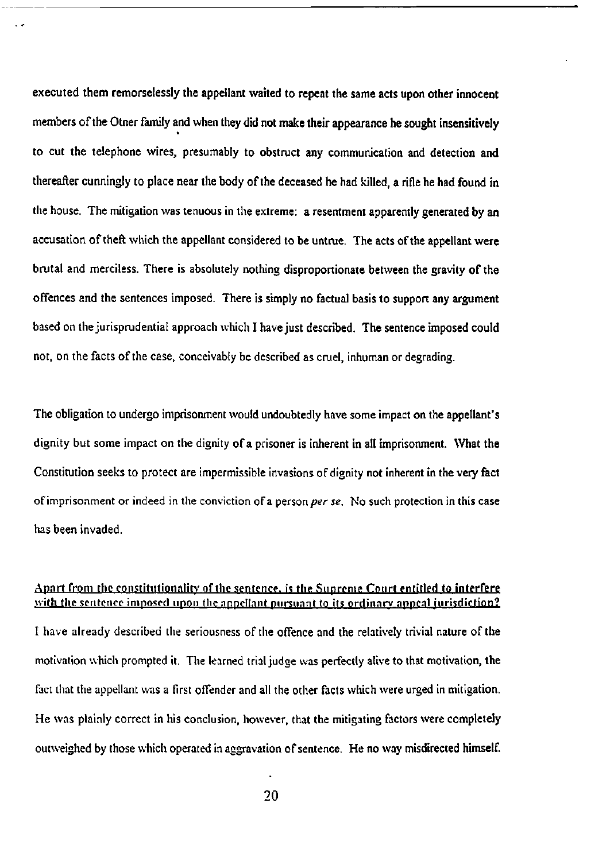**executed them remorselessly the appellant waited to repeat the same acts upon other innocent members of the Otner family and when they did not make their appearance he sought insensitively to cut the telephone wires, presumably to obstruct any communication and detection and thereafter cunningly to place near the body of the deceased he had killed, a rifle he had found in the house. The mitigation was tenuous in the extreme: a resentment apparently generated by an accusation of theft which the appellant considered to be untrue. The acts of the appellant were brutal and merciless. There is absolutely nothing disproportionate between the gravity of the offences and the sentences imposed. There is simply no factual basis to support any argument based on the jurisprudential approach which I have just described. The sentence imposed could not, on the facts of the case, conceivably be described as cruel, inhuman or degrading.** 

**The obligation to undergo imprisonment would undoubtedly have some impact on the appellant's dignity but some impact on the dignity of a prisoner is inherent in all imprisonment. What the Constitution seeks to protect are impermissible invasions of dignity not inherent in the very fact of imprisonment or indeed in the conviction of a person** *per se.* **No such protection in this case has been invaded.** 

## **Apart from the constitutionnlity or the sentence, is the Supreme Court entitled to interfere with the sentence imposed upon the appellant pursuant to its ordinary appeal jurisdiction?**

**I have already described the seriousness of the offence and the relatively trivial nature of the motivation which prompted it. The learned trial judge was perfectly alive to that motivation, the fact that the appellant was a first offender and all the other facts which were urged in mitigation. He was plainly correct in his conclusion, however, that the mitigating factors were completely outweighed by those which operated in aggravation of sentence. He no way misdirected himself.**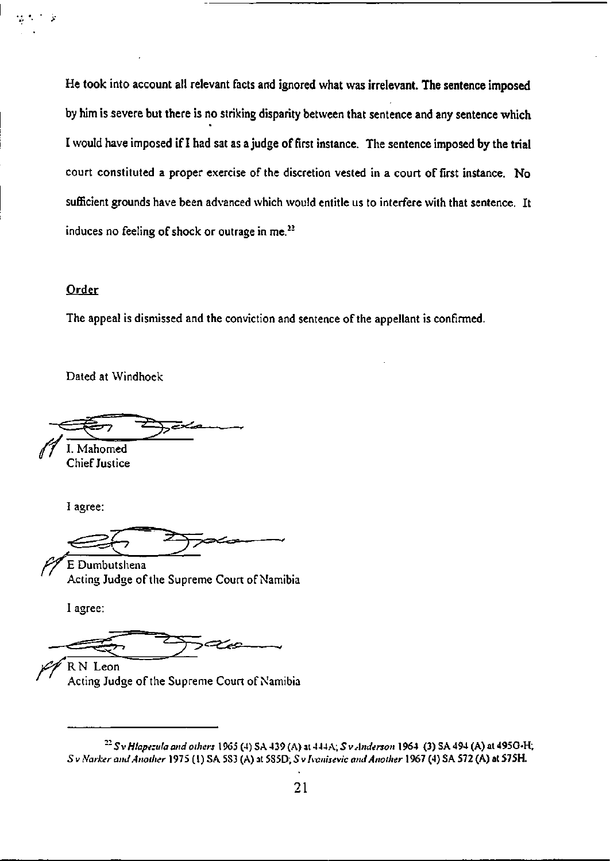**He took into account all relevant facts and ignored what was irrelevant. The sentence imposed by him is severe but there is no striking disparity between that sentence and any sentence which**  I would have imposed if I had sat as **a** judge **of** first **instance. The sentence imposed by the trial**  court constituted a proper exercise of the discretion vested in a court **of first instance. No**  sufficient grounds have been advanced which would entitle us to interfere with **that sentence. It**  induces no feeling of shock or outrage in me. $^{22}$ 

#### Order

The appeal is dismissed and the conviction and sentence of the appellant is confirmed.

Dated at Windhoek

I. Mahomed

Chief Justice

I agree:

E Dumbutshena Acting Judge of the Supreme Court of Namibia

I agree:

R. N. Leon

Acting Judge of the Supreme Court of Namibia

*<sup>22</sup> S v Hlapezula and others* 1965 (4) SA439 (A) at *444A; S v Anderson* **1964 (3) SA 494 (A) at 495G-H;**  *S* v *Narker and Another* 1975 (I) SA 5S3 (A) at 5S5D; *S v Ivanisevic and Another* **1967 (4) SA 572 (A) at 575H.**